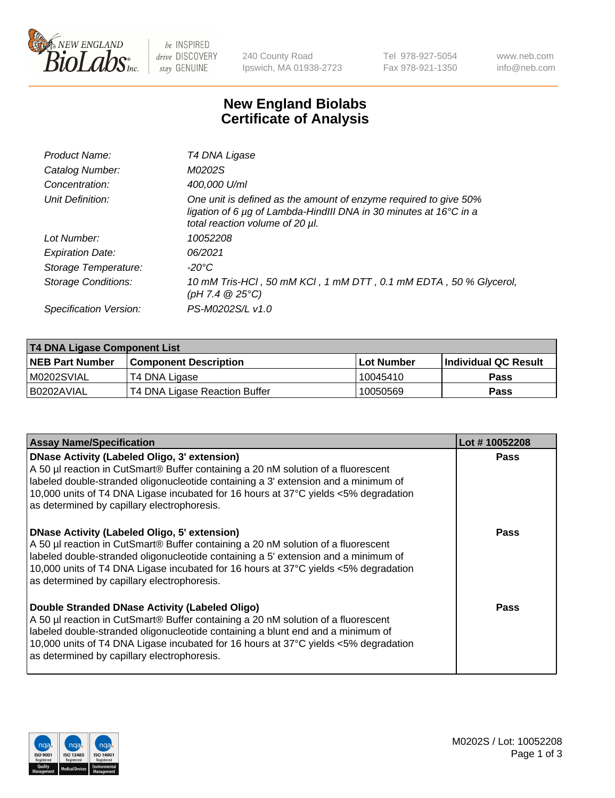

be INSPIRED drive DISCOVERY stay GENUINE

240 County Road Ipswich, MA 01938-2723 Tel 978-927-5054 Fax 978-921-1350 www.neb.com info@neb.com

## **New England Biolabs Certificate of Analysis**

| Product Name:              | T4 DNA Ligase                                                                                                                                                                           |
|----------------------------|-----------------------------------------------------------------------------------------------------------------------------------------------------------------------------------------|
| Catalog Number:            | M0202S                                                                                                                                                                                  |
| Concentration:             | 400,000 U/ml                                                                                                                                                                            |
| Unit Definition:           | One unit is defined as the amount of enzyme required to give 50%<br>ligation of 6 $\mu$ g of Lambda-HindIII DNA in 30 minutes at 16 $\degree$ C in a<br>total reaction volume of 20 µl. |
| Lot Number:                | 10052208                                                                                                                                                                                |
| <b>Expiration Date:</b>    | 06/2021                                                                                                                                                                                 |
| Storage Temperature:       | $-20^{\circ}$ C                                                                                                                                                                         |
| <b>Storage Conditions:</b> | 10 mM Tris-HCl, 50 mM KCl, 1 mM DTT, 0.1 mM EDTA, 50 % Glycerol,<br>(pH 7.4 $@25°C$ )                                                                                                   |
| Specification Version:     | PS-M0202S/L v1.0                                                                                                                                                                        |

| T4 DNA Ligase Component List |                               |                   |                      |  |  |
|------------------------------|-------------------------------|-------------------|----------------------|--|--|
| <b>NEB Part Number</b>       | <b>Component Description</b>  | <b>Lot Number</b> | Individual QC Result |  |  |
| IM0202SVIAL                  | T4 DNA Ligase                 | 10045410          | <b>Pass</b>          |  |  |
| I B0202AVIAL                 | T4 DNA Ligase Reaction Buffer | 10050569          | <b>Pass</b>          |  |  |

| <b>Assay Name/Specification</b>                                                                                                                                                                                                                                                                                                                                      | Lot #10052208 |
|----------------------------------------------------------------------------------------------------------------------------------------------------------------------------------------------------------------------------------------------------------------------------------------------------------------------------------------------------------------------|---------------|
| <b>DNase Activity (Labeled Oligo, 3' extension)</b><br>A 50 µl reaction in CutSmart® Buffer containing a 20 nM solution of a fluorescent<br>labeled double-stranded oligonucleotide containing a 3' extension and a minimum of<br>10,000 units of T4 DNA Ligase incubated for 16 hours at 37°C yields <5% degradation<br>as determined by capillary electrophoresis. | <b>Pass</b>   |
| <b>DNase Activity (Labeled Oligo, 5' extension)</b><br>A 50 µl reaction in CutSmart® Buffer containing a 20 nM solution of a fluorescent<br>labeled double-stranded oligonucleotide containing a 5' extension and a minimum of<br>10,000 units of T4 DNA Ligase incubated for 16 hours at 37°C yields <5% degradation<br>as determined by capillary electrophoresis. | Pass          |
| Double Stranded DNase Activity (Labeled Oligo)<br>A 50 µl reaction in CutSmart® Buffer containing a 20 nM solution of a fluorescent<br>labeled double-stranded oligonucleotide containing a blunt end and a minimum of<br>10,000 units of T4 DNA Ligase incubated for 16 hours at 37°C yields <5% degradation<br>as determined by capillary electrophoresis.         | Pass          |

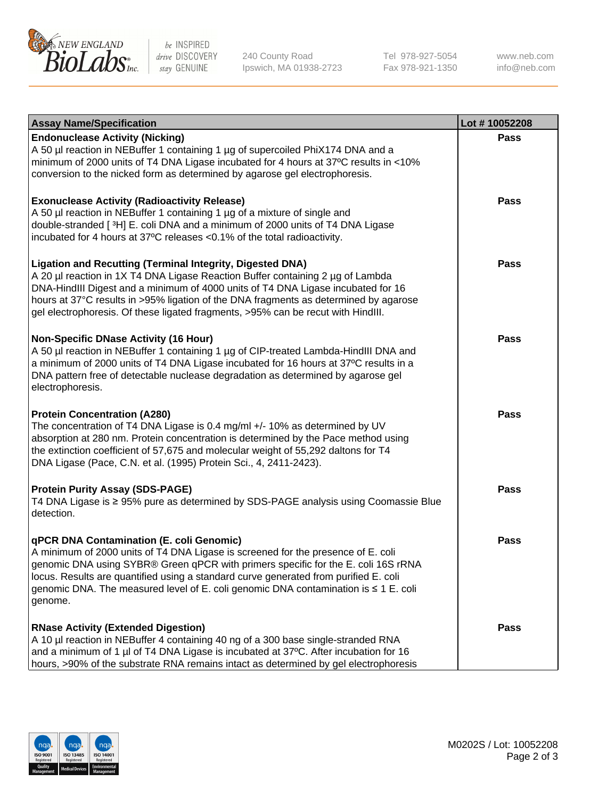

be INSPIRED drive DISCOVERY stay GENUINE

240 County Road Ipswich, MA 01938-2723 Tel 978-927-5054 Fax 978-921-1350

www.neb.com info@neb.com

| <b>Assay Name/Specification</b>                                                                                                                                                                                                                                                                                                                                                                                    | Lot #10052208 |
|--------------------------------------------------------------------------------------------------------------------------------------------------------------------------------------------------------------------------------------------------------------------------------------------------------------------------------------------------------------------------------------------------------------------|---------------|
| <b>Endonuclease Activity (Nicking)</b><br>A 50 µl reaction in NEBuffer 1 containing 1 µg of supercoiled PhiX174 DNA and a<br>minimum of 2000 units of T4 DNA Ligase incubated for 4 hours at 37°C results in <10%<br>conversion to the nicked form as determined by agarose gel electrophoresis.                                                                                                                   | <b>Pass</b>   |
| <b>Exonuclease Activity (Radioactivity Release)</b><br>A 50 µl reaction in NEBuffer 1 containing 1 µg of a mixture of single and<br>double-stranded [3H] E. coli DNA and a minimum of 2000 units of T4 DNA Ligase<br>incubated for 4 hours at 37°C releases <0.1% of the total radioactivity.                                                                                                                      | <b>Pass</b>   |
| <b>Ligation and Recutting (Terminal Integrity, Digested DNA)</b><br>A 20 µl reaction in 1X T4 DNA Ligase Reaction Buffer containing 2 µg of Lambda<br>DNA-HindIII Digest and a minimum of 4000 units of T4 DNA Ligase incubated for 16<br>hours at 37°C results in >95% ligation of the DNA fragments as determined by agarose<br>gel electrophoresis. Of these ligated fragments, >95% can be recut with HindIII. | <b>Pass</b>   |
| <b>Non-Specific DNase Activity (16 Hour)</b><br>A 50 µl reaction in NEBuffer 1 containing 1 µg of CIP-treated Lambda-HindIII DNA and<br>a minimum of 2000 units of T4 DNA Ligase incubated for 16 hours at 37°C results in a<br>DNA pattern free of detectable nuclease degradation as determined by agarose gel<br>electrophoresis.                                                                               | <b>Pass</b>   |
| <b>Protein Concentration (A280)</b><br>The concentration of T4 DNA Ligase is 0.4 mg/ml +/- 10% as determined by UV<br>absorption at 280 nm. Protein concentration is determined by the Pace method using<br>the extinction coefficient of 57,675 and molecular weight of 55,292 daltons for T4<br>DNA Ligase (Pace, C.N. et al. (1995) Protein Sci., 4, 2411-2423).                                                | <b>Pass</b>   |
| <b>Protein Purity Assay (SDS-PAGE)</b><br>T4 DNA Ligase is ≥ 95% pure as determined by SDS-PAGE analysis using Coomassie Blue<br>detection.                                                                                                                                                                                                                                                                        | <b>Pass</b>   |
| qPCR DNA Contamination (E. coli Genomic)<br>A minimum of 2000 units of T4 DNA Ligase is screened for the presence of E. coli<br>genomic DNA using SYBR® Green qPCR with primers specific for the E. coli 16S rRNA<br>locus. Results are quantified using a standard curve generated from purified E. coli<br>genomic DNA. The measured level of E. coli genomic DNA contamination is ≤ 1 E. coli<br>genome.        | Pass          |
| <b>RNase Activity (Extended Digestion)</b><br>A 10 µl reaction in NEBuffer 4 containing 40 ng of a 300 base single-stranded RNA<br>and a minimum of 1 µl of T4 DNA Ligase is incubated at 37°C. After incubation for 16<br>hours, >90% of the substrate RNA remains intact as determined by gel electrophoresis                                                                                                    | <b>Pass</b>   |